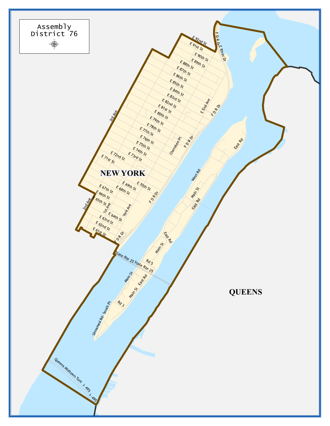